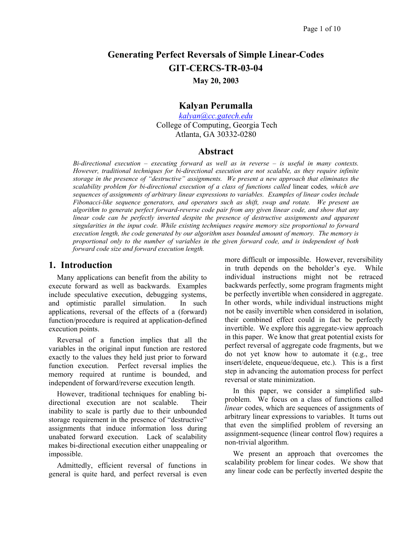# **Generating Perfect Reversals of Simple Linear-Codes GIT-CERCS-TR-03-04**

#### **May 20, 2003**

## **Kalyan Perumalla**

*[kalyan@cc.gatech.edu](mailto:kalyan@cc.gatech.edu)* College of Computing, Georgia Tech Atlanta, GA 30332-0280

### **Abstract**

*Bi-directional execution – executing forward as well as in reverse – is useful in many contexts. However, traditional techniques for bi-directional execution are not scalable, as they require infinite storage in the presence of "destructive" assignments. We present a new approach that eliminates the scalability problem for bi-directional execution of a class of functions called* linear codes*, which are sequences of assignments of arbitrary linear expressions to variables. Examples of linear codes include Fibonacci-like sequence generators, and operators such as shift, swap and rotate. We present an algorithm to generate perfect forward-reverse code pair from any given linear code, and show that any linear code can be perfectly inverted despite the presence of destructive assignments and apparent singularities in the input code. While existing techniques require memory size proportional to forward execution length, the code generated by our algorithm uses bounded amount of memory. The memory is proportional only to the number of variables in the given forward code, and is independent of both forward code size and forward execution length.* 

## **1. Introduction**

Many applications can benefit from the ability to execute forward as well as backwards. Examples include speculative execution, debugging systems, and optimistic parallel simulation. In such applications, reversal of the effects of a (forward) function/procedure is required at application-defined execution points.

Reversal of a function implies that all the variables in the original input function are restored exactly to the values they held just prior to forward function execution. Perfect reversal implies the memory required at runtime is bounded, and independent of forward/reverse execution length.

However, traditional techniques for enabling bidirectional execution are not scalable. Their inability to scale is partly due to their unbounded storage requirement in the presence of "destructive" assignments that induce information loss during unabated forward execution. Lack of scalability makes bi-directional execution either unappealing or impossible.

Admittedly, efficient reversal of functions in general is quite hard, and perfect reversal is even

more difficult or impossible. However, reversibility in truth depends on the beholder's eye. While individual instructions might not be retraced backwards perfectly, some program fragments might be perfectly invertible when considered in aggregate. In other words, while individual instructions might not be easily invertible when considered in isolation, their combined effect could in fact be perfectly invertible. We explore this aggregate-view approach in this paper. We know that great potential exists for perfect reversal of aggregate code fragments, but we do not yet know how to automate it (e.g., tree insert/delete, enqueue/dequeue, etc.). This is a first step in advancing the automation process for perfect reversal or state minimization.

In this paper, we consider a simplified subproblem. We focus on a class of functions called *linear* codes, which are sequences of assignments of arbitrary linear expressions to variables. It turns out that even the simplified problem of reversing an assignment-sequence (linear control flow) requires a non-trivial algorithm.

We present an approach that overcomes the scalability problem for linear codes. We show that any linear code can be perfectly inverted despite the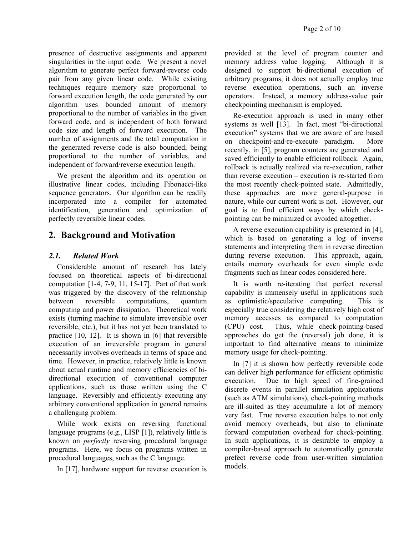presence of destructive assignments and apparent singularities in the input code. We present a novel algorithm to generate perfect forward-reverse code pair from any given linear code. While existing techniques require memory size proportional to forward execution length, the code generated by our algorithm uses bounded amount of memory proportional to the number of variables in the given forward code, and is independent of both forward code size and length of forward execution. The number of assignments and the total computation in the generated reverse code is also bounded, being proportional to the number of variables, and independent of forward/reverse execution length.

We present the algorithm and its operation on illustrative linear codes, including Fibonacci-like sequence generators. Our algorithm can be readily incorporated into a compiler for automated identification, generation and optimization of perfectly reversible linear codes.

## **2. Background and Motivation**

### *2.1. Related Work*

Considerable amount of research has lately focused on theoretical aspects of bi-directional computation [1-4, 7-9, 11, 15-17]. Part of that work was triggered by the discovery of the relationship between reversible computations, quantum computing and power dissipation. Theoretical work exists (turning machine to simulate irreversible over reversible, etc.), but it has not yet been translated to practice [10, 12]. It is shown in [6] that reversible execution of an irreversible program in general necessarily involves overheads in terms of space and time. However, in practice, relatively little is known about actual runtime and memory efficiencies of bidirectional execution of conventional computer applications, such as those written using the C language. Reversibly and efficiently executing any arbitrary conventional application in general remains a challenging problem.

While work exists on reversing functional language programs (e.g., LISP [1]), relatively little is known on *perfectly* reversing procedural language programs. Here, we focus on programs written in procedural languages, such as the C language.

In [17], hardware support for reverse execution is

provided at the level of program counter and memory address value logging. Although it is designed to support bi-directional execution of arbitrary programs, it does not actually employ true reverse execution operations, such an inverse operators. Instead, a memory address-value pair checkpointing mechanism is employed.

Re-execution approach is used in many other systems as well [13]. In fact, most "bi-directional execution" systems that we are aware of are based on checkpoint-and-re-execute paradigm. More recently, in [5], program counters are generated and saved efficiently to enable efficient rollback. Again, rollback is actually realized via re-execution, rather than reverse execution – execution is re-started from the most recently check-pointed state. Admittedly, these approaches are more general-purpose in nature, while our current work is not. However, our goal is to find efficient ways by which checkpointing can be minimized or avoided altogether.

A reverse execution capability is presented in [4], which is based on generating a log of inverse statements and interpreting them in reverse direction during reverse execution. This approach, again, entails memory overheads for even simple code fragments such as linear codes considered here.

It is worth re-iterating that perfect reversal capability is immensely useful in applications such as optimistic/speculative computing. This is especially true considering the relatively high cost of memory accesses as compared to computation (CPU) cost. Thus, while check-pointing-based approaches do get the (reversal) job done, it is important to find alternative means to minimize memory usage for check-pointing.

In [7] it is shown how perfectly reversible code can deliver high performance for efficient optimistic execution. Due to high speed of fine-grained discrete events in parallel simulation applications (such as ATM simulations), check-pointing methods are ill-suited as they accumulate a lot of memory very fast. True reverse execution helps to not only avoid memory overheads, but also to eliminate forward computation overhead for check-pointing. In such applications, it is desirable to employ a compiler-based approach to automatically generate prefect reverse code from user-written simulation models.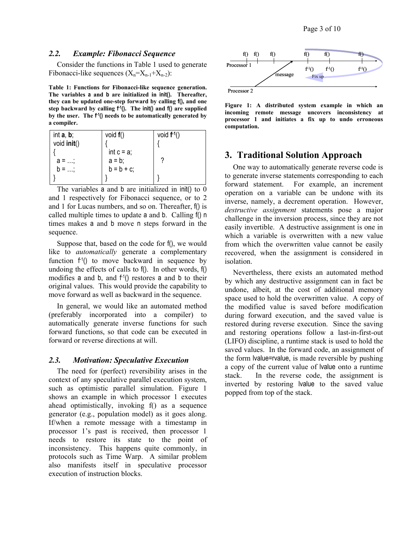Considerthe functions in Table 1 used to generate Fibonacci-like sequences  $(X_n = X_{n-1} + X_{n-2})$ :

<span id="page-2-0"></span>**Table 1: Functions for Fibonacci-like sequence generation. The variables a and b are initialized in init(). Thereafter, they can be updated one-step forward by calling f(), and one step backward by calling f -1(). The init() and f() are supplied by the user. The f -1() needs to be automatically generated by a compiler.** 

| int $a, b$ ; | void $f()$    | void $f^{-1}()$ |
|--------------|---------------|-----------------|
| void init()  |               |                 |
|              | int $c = a$ ; |                 |
| $a = ;$      | $a = b$ ;     |                 |
|              | $b = b + c$ ; |                 |
|              |               |                 |

The variables a and b are initialized in init() to 0 and 1 respectively for Fibonacci sequence, or to 2 and 1 for Lucas numbers, and so on. Thereafter, f() is called multiple times to update a and b. Calling f() n times makes a and b move n steps forward in the sequence.

Suppose that, based on the code for f(), we would like to *automatically* generate a complementary function  $f'(x)$  to move backward in sequence by undoing the effects of calls to f(). In other words, f() modifies a and b, and  $f'(t)$  restores a and b to their original values. This would provide the capability to move forward as well as backward in the sequence.

In general, we would like an automated method (preferably incorporated into a compiler) to automatically generate inverse functions for such forward functions, so that code can be executed in forward or reverse directions at will.

#### *2.3. Motivation: Speculative Execution*

The need for (perfect) reversibility arises in the context of any speculative parallel execution system, such as optimistic parallel simulation. [Figure](#page-2-1) 1 shows an example in which processor 1 executes ahead optimistically, invoking f() as a sequence generator (e.g., population model) as it goes along. If/when a remote message with a timestamp in processor 1's past is received, then processor 1 needs to restore its state to the point of inconsistency. This happens quite commonly, in protocols such as Time Warp. A similar problem also manifests itself in speculative processor execution of instruction blocks.



<span id="page-2-1"></span>

## **3. Traditional Solution Approach**

One way to automatically generate reverse code is to generate inverse statements corresponding to each forward statement. For example, an increment operation on a variable can be undone with its inverse, namely, a decrement operation. However, *destructive assignment* statements pose a major challenge in the inversion process, since they are not easily invertible. A destructive assignment is one in which a variable is overwritten with a new value from which the overwritten value cannot be easily recovered, when the assignment is considered in isolation.

Nevertheless, there exists an automated method by which any destructive assignment can in fact be undone, albeit, at the cost of additional memory space used to hold the overwritten value. A copy of the modified value is saved before modification during forward execution, and the saved value is restored during reverse execution. Since the saving and restoring operations follow a last-in-first-out (LIFO) discipline, a runtime stack is used to hold the saved values. In the forward code, an assignment of the form lvalue=rvalue, is made reversible by pushing a copy of the current value of lvalue onto a runtime stack. In the reverse code, the assignment is inverted by restoring lvalue to the saved value popped from top of the stack.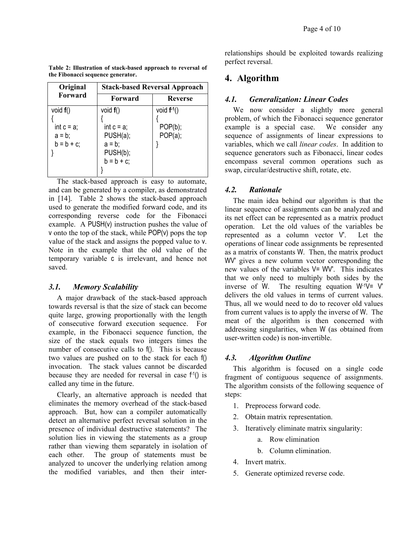| the Fibonacci sequence generator. |                                      |                    |  |  |  |  |  |
|-----------------------------------|--------------------------------------|--------------------|--|--|--|--|--|
| Original                          | <b>Stack-based Reversal Approach</b> |                    |  |  |  |  |  |
| Forward                           | Forward                              | <b>Reverse</b>     |  |  |  |  |  |
| void $f()$                        | void $f()$                           | void $f^{-1}()$    |  |  |  |  |  |
|                                   |                                      |                    |  |  |  |  |  |
| int $c = a$ ;                     | int $c = a$ ;                        | POP(b);<br>POP(a); |  |  |  |  |  |
| $a = b$ ;                         | PUSH(a);                             |                    |  |  |  |  |  |

}

 $a = b$ ; PUSH(b);  $b = b + c$ ;

}

<span id="page-3-0"></span>**Table 2: Illustration of stack-based approach to reversal of the Fibonacci sequence generator.** 

The stack-based approach is easy to automate, and can be generated by a compiler, as demonstrated in  $[14]$ . Table 2 shows the stack-based approach used to generate the modified forward code, and its corresponding reverse code for the Fibonacci example. A PUSH(v) instruction pushes the value of v onto the top of the stack, while POP(v) pops the top value of the stack and assigns the popped value to v. Note in the example that the old value of the temporary variable c is irrelevant, and hence not saved.

#### *3.1. Memory Scalability*

 $b = b + c$ ;

}

A major drawback of the stack-based approach towards reversal is that the size of stack can become quite large, growing proportionally with the length of consecutive forward execution sequence. For example, in the Fibonacci sequence function, the size of the stack equals two integers times the number of consecutive calls to f(). This is because two values are pushed on to the stack for each f() invocation. The stack values cannot be discarded because they are needed for reversal in case  $f(1)$  is called any time in the future.

Clearly, an alternative approach is needed that eliminates the memory overhead of the stack-based approach. But, how can a compiler automatically detect an alternative perfect reversal solution in the presence of individual destructive statements? The solution lies in viewing the statements as a group rather than viewing them separately in isolation of each other. The group of statements must be analyzed to uncover the underlying relation among the modified variables, and then their interrelationships should be exploited towards realizing perfect reversal.

## **4. Algorithm**

### *4.1. Generalization: Linear Codes*

We now consider a slightly more general problem, of which the Fibonacci sequence generator example is a special case. We consider any sequence of assignments of linear expressions to variables, which we call *linear codes*. In addition to sequence generators such as Fibonacci, linear codes encompass several common operations such as swap, circular/destructive shift, rotate, etc.

#### *4.2. Rationale*

The main idea behind our algorithm is that the linear sequence of assignments can be analyzed and its net effect can be represented as a matrix product operation. Let the old values of the variables be represented as a column vector V'. Let the operations of linear code assignments be represented as a matrix of constants W. Then, the matrix product WV' gives a new column vector corresponding the new values of the variables V= WV'. This indicates that we only need to multiply both sides by the inverse of W. The resulting equation  $W<sup>T</sup>V= V'$ delivers the old values in terms of current values. Thus, all we would need to do to recover old values from current values is to apply the inverse of W. The meat of the algorithm is then concerned with addressing singularities, when W (as obtained from user-written code) is non-invertible.

#### *4.3. Algorithm Outline*

This algorithm is focused on a single code fragment of contiguous sequence of assignments. The algorithm consists of the following sequence of steps:

- 1. Preprocess forward code.
- 2. Obtain matrix representation.
- 3. Iteratively eliminate matrix singularity:
	- a. Row elimination
	- b. Column elimination.
- 4. Invert matrix.
- 5. Generate optimized reverse code.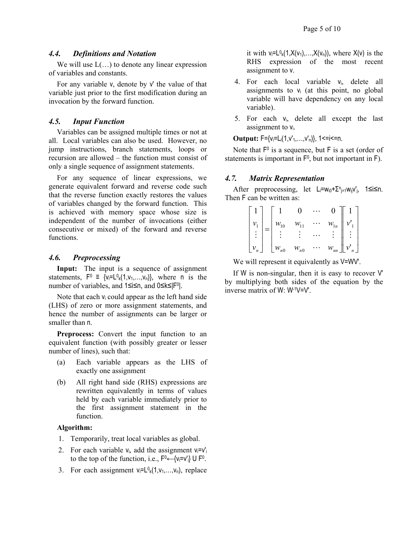#### *4.4. Definitions and Notation*

We will use  $L(\ldots)$  to denote any linear expression of variables and constants.

For any variable v, denote by v' the value of that variable just prior to the first modification during an invocation by the forward function.

#### *4.5. Input Function*

Variables can be assigned multiple times or not at all. Local variables can also be used. However, no jump instructions, branch statements, loops or recursion are allowed – the function must consist of only a single sequence of assignment statements.

For any sequence of linear expressions, we generate equivalent forward and reverse code such that the reverse function exactly restores the values of variables changed by the forward function. This is achieved with memory space whose size is independent of the number of invocations (either consecutive or mixed) of the forward and reverse functions.

#### *4.6. Preprocessing*

**Input:** The input is a sequence of assignment statements,  $F^0 \equiv \{v_i = L^0_k(1, v_1, \ldots, v_n)\}$ , where n is the number of variables, and 1≤i≤n, and 0≤k≤|F0|.

Note that each  $v_i$  could appear as the left hand side (LHS) of zero or more assignment statements, and hence the number of assignments can be larger or smaller than n.

**Preprocess:** Convert the input function to an equivalent function (with possibly greater or lesser number of lines), such that:

- (a) Each variable appears as the LHS of exactly one assignment
- (b) All right hand side (RHS) expressions are rewritten equivalently in terms of values held by each variable immediately prior to the first assignment statement in the function.

#### **Algorithm:**

- 1. Temporarily, treat local variables as global.
- 2. For each variable  $v_i$ , add the assignment  $v_i = v'_i$ to the top of the function, i.e.,  $F^0 \leftarrow \{v_i = v'_i\} \cup F^0$ .
- 3. For each assignment  $v_i = L^0_k(1, v_1, \ldots, v_n)$ , replace

it with  $v_i = L^0_k(1, X(v_1),...,X(v_n))$ , where  $X(v)$  is the RHS expression of the most recent assignment to v.

- 4. For each local variable  $v_i$ , delete all assignments to  $v_i$  (at this point, no global variable will have dependency on any local variable).
- 5. For each  $v_i$ , delete all except the last assignment to  $v_i$ .

**Output:**  $F = \{v_i = L_i(1, v'_1, \ldots, v'_n)\},\ 1 \le i \le n$ .

Note that  $F^0$  is a sequence, but  $F$  is a set (order of statements is important in  $F<sup>0</sup>$ , but not important in  $F$ ).

#### *4.7. Matrix Representation*

After preprocessing, let  $L_i=w_{i0}+\sum_{j=1}^{n}w_{ij}v_j$ , 1 si sn. Then F can be written as:

|                                               |     |               |                    | $\overline{0}$ |                        |
|-----------------------------------------------|-----|---------------|--------------------|----------------|------------------------|
| $\begin{bmatrix} v_1 \\ \vdots \end{bmatrix}$ | $=$ | $W_{10}$      | $W_{11}$           | $W_{1n}$       | $v_1$<br>$\vdots$      |
|                                               |     | $\frac{1}{2}$ |                    |                |                        |
| $ v_n $                                       |     | $W_{n0}$      | $\mathcal{W}_{n0}$ | $W_{nn}$       | $\lfloor v'_n \rfloor$ |

We will represent it equivalently as  $V=WW'$ .

If W is non-singular, then it is easy to recover V' by multiplying both sides of the equation by the inverse matrix of W: W-1V=V'.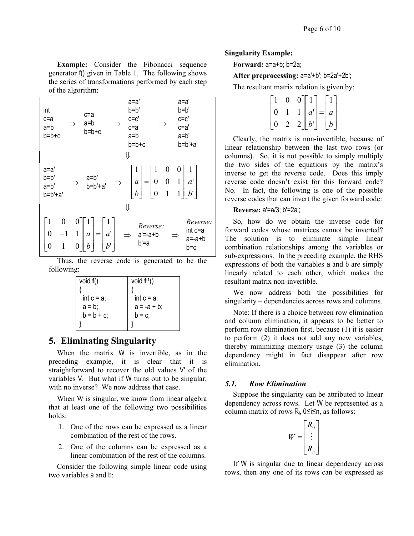**Example:** Consider the Fibonacci sequence **Forward:** a=a+b; b=2a; generator f() given in Table 1. The following shows the series of transformations performed by each step of the algorithm:

$$
\begin{array}{cccc}\n\text{int} & \text{c=a} & \text{a=a'} & \text{a=a'} \\
\text{c=a} & \Rightarrow & \text{a=b} & \Rightarrow & \text{c=c'} \\
\text{a=b} & \text{b=b+c} & \text{c=a} & \Rightarrow & \text{c=c'} \\
\text{b=b+c} & \text{a=b} & \text{a=b'} \\
\text{b=b+c} & \text{b=b+c} & \text{b=b'+a'} \\
\text{a=a'} & \text{b=b'+c} & \text{b=b'+a'} \\
\text{a=a'} & \text{b=b'} & \text{a=b'} \\
\text{a=b'} & \Rightarrow & \text{b=b'+a'} & \Rightarrow \begin{bmatrix} 1 \\ a \\ b \end{bmatrix} = \begin{bmatrix} 1 & 0 & 0 \\ 0 & 0 & 1 \\ 0 & 1 & 1 \end{bmatrix} \begin{bmatrix} 1 \\ b' \end{bmatrix} \\
\text{b=b'+a'} & \text{b=b'+a'} & \text{b=c} \\
\text{b=c} & \text{a=-a+b} & \text{b=c}\n\end{array}
$$

Thus, the reverse code is generated to be the following:

| void $f()$    | void $f^{-1}()$ |
|---------------|-----------------|
|               |                 |
| int $c = a$ ; | int $c = a$ ;   |
| $a = b$ ;     | $a = -a + b$ ;  |
| $b = b + c$ ; | $b = c$ ;       |
|               |                 |

## **5. Eliminating Singularity**

When the matrix W is invertible, as in the preceding example, it is clear that it is straightforward to recover the old values V' of the variables V. But what if W turns out to be singular, with no inverse? We now address that case. **5.1. Row Elimination** *n s s n s n n n n n n n n n n n n n n n n n n n n n* 

When W is singular, we know from linear algebra that at least one of the following two possibilities holds:

- 1. One of the rows can be expressed as a linear combination of the rest of the rows.
- 2. One of the columns can be expressed as a linear combination of the rest of the columns.

Consider the following simple linear code using two variables a and b:

#### **Singularity Example:**

#### After preprocessing: a=a'+b'; b=2a'+2b';

The resultant matrix relation is given by:

|   | 0 | 0 |                          |                  |  |
|---|---|---|--------------------------|------------------|--|
| 0 |   |   | $\parallel a' \parallel$ | $a =  a $        |  |
|   | 2 |   | 2  b                     | $\boldsymbol{b}$ |  |

Clearly, the matrix is non-invertible, because of linear relationship between the last two rows (or columns). So, it is not possible to simply multiply the two sides of the equations by the matrix's inverse to get the reverse code. Does this imply reverse code doesn't exist for this forward code? No. In fact, the following is one of the possible reverse codes that can invert the given forward code:

#### **Reverse:** a'=a/3; b'=2a';

So, how do we obtain the inverse code for forward codes whose matrices cannot be inverted? The solution is to eliminate simple linear combination relationships among the variables or sub-expressions. In the preceding example, the RHS expressions of both the variables a and b are simply linearly related to each other, which makes the resultant matrix non-invertible.

We now address both the possibilities for singularity – dependencies across rows and columns.

Note: If there is a choice between row elimination and column elimination, it appears to be better to perform row elimination first, because (1) it is easier to perform (2) it does not add any new variables, thereby minimizing memory usage (3) the column dependency might in fact disappear after row elimination.

Suppose the singularity can be attributed to linear dependency across rows. Let W be represented as a column matrix of rows  $R_i$ ,  $0 \le i \le n$ , as follows:

$$
W = \begin{bmatrix} R_0 \\ \vdots \\ R_n \end{bmatrix}
$$

If W is singular due to linear dependency across rows, then any one of its rows can be expressed as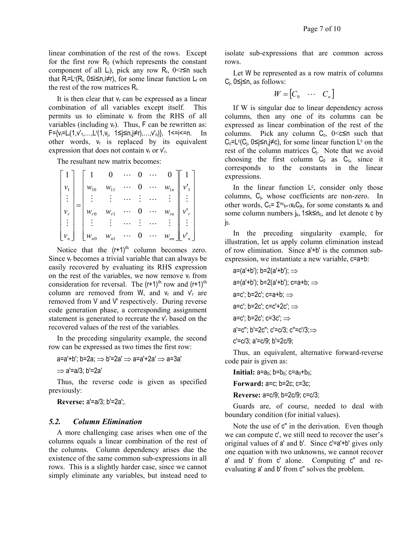linear combination of the rest of the rows. Except for the first row  $R_0$  (which represents the constant component of all L<sub>i</sub>), pick any row R<sub>r</sub>,  $0 \le r \le n$  such that  $R_r = L^r(R_i, 0 \le i \le n, i \ne r)$ , for some linear function  $L_r$  on the rest of the row matrices Ri.

It is then clear that  $v_r$  can be expressed as a linear combination of all variables except itself. This permits us to eliminate  $v_r$  from the RHS of all variables (including  $v_t$ ). Thus, F can be rewritten as: F={v<sub>i</sub>=L<sub>i</sub>(1,v'<sub>1</sub>,…,L<sup>r</sup>(1,v<sub>j</sub>, 1≤j≤n,j≠r),…,v'<sub>n</sub>)}, 1<=i<=n. In other words,  $v_r$  is replaced by its equivalent expression that does not contain  $V_r$  or  $V'_r$ .

The resultant new matrix becomes:

|                | $W_{10}$      | $\mathcal{W}_{11}$ |  |           | $\mathcal{W}_{1n}$ |  |
|----------------|---------------|--------------------|--|-----------|--------------------|--|
| $\mathbb{R}^2$ | $\frac{1}{2}$ |                    |  | $\ldots$  |                    |  |
|                | $w_{r0}$      | $W_{r1}$           |  |           | $W_{rn}$           |  |
|                |               |                    |  |           |                    |  |
|                | $W_{n0}$      | $\mathcal{W}_{n1}$ |  | $\ddotsc$ |                    |  |

Notice that the  $(r+1)^{th}$  column becomes zero. Since  $v_r$  becomes a trivial variable that can always be easily recovered by evaluating its RHS expression on the rest of the variables, we now remove  $v_r$  from consideration for reversal. The  $(r+1)$ <sup>th</sup> row and  $(r+1)$ <sup>th</sup> column are removed from W, and  $v_r$  and  $v_r$  are removed from V and V' respectively. During reverse code generation phase, a corresponding assignment statement is generated to recreate the  $v_r$  based on the recovered values of the rest of the variables.

In the preceding singularity example, the second row can be expressed as two times the first row:

$$
\mathsf{a} \texttt{=} \mathsf{a}' \texttt{+} \mathsf{b}'; \mathsf{b} \texttt{=} 2\mathsf{a}; \Rightarrow \mathsf{b}' \texttt{=} 2\mathsf{a}' \Rightarrow \mathsf{a} \texttt{=} \mathsf{a}' \texttt{+} 2\mathsf{a}' \Rightarrow \mathsf{a} \texttt{=} 3\mathsf{a}'
$$

$$
\Rightarrow a'=a/3; b'=2a'
$$

Thus, the reverse code is given as specified previously:

**Reverse:** a'=a/3; b'=2a';.

#### *5.2. Column Elimination*

A more challenging case arises when one of the columns equals a linear combination of the rest of the columns. Column dependency arises due the existence of the same common sub-expressions in all rows. This is a slightly harder case, since we cannot simply eliminate any variables, but instead need to isolate sub-expressions that are common across rows.

Let W be represented as a row matrix of columns C<sub>i</sub>, 0≤j≤n, as follows:

$$
W = \begin{bmatrix} C_0 & \cdots & C_n \end{bmatrix}
$$

If W is singular due to linear dependency across columns, then any one of its columns can be expressed as linear combination of the rest of the columns. Pick any column  $C_c$ ,  $0 < c \le n$  such that  $C_c = L^c(C_j, 0 \le j \le n, j \ne c)$ , for some linear function  $L^c$  on the rest of the column matrices Cj. Note that we avoid choosing the first column  $C_0$  as  $C_c$ , since it corresponds to the constants in the linear expressions.

In the linear function  $\mathsf{L}^c$ , consider only those columns, Cj, whose coefficients are non-zero. In other words,  $C_c = \sum_{k=1}^{n_c} x_k C_{ik}$ , for some constants  $x_k$  and some column numbers  $j_k$ , 1≤k≤n<sub>c</sub>, and let denote c by  $j_0$ .

In the preceding singularity example, for illustration, let us apply column elimination instead of row elimination. Since a'+b' is the common subexpression, we instantiate a new variable,  $c=a+b$ :

 $a=(a'+b')$ ; b=2( $a'+b'$ );  $\Rightarrow$  $a=(a'+b')$ ; b=2(a'+b'); c=a+b;  $\Rightarrow$ a=c'; b=2c'; c=a+b; ⇒ a=c'; b=2c'; c=c'+2c'; ⇒ a=c'; b=2c'; c=3c'; ⇒ a'=c''; b'=2c''; c'=c/3; c''=c'/3;⇒ c'=c/3; a'=c/9; b'=2c/9;

Thus, an equivalent, alternative forward-reverse code pair is given as:

**Initial:**  $a=a_0$ ;  $b=b_0$ ;  $c=a_0+b_0$ ;

**Forward:** a=c; b=2c; c=3c;

**Reverse:** a=c/9; b=2c/9; c=c/3;

Guards are, of course, needed to deal with boundary condition (for initial values).

Note the use of  $c''$  in the derivation. Even though we can compute c', we still need to recover the user's original values of a' and b'. Since c'=a'+b' gives only one equation with two unknowns, we cannot recover a' and b' from c' alone. Computing c'' and reevaluating a' and b' from c'' solves the problem.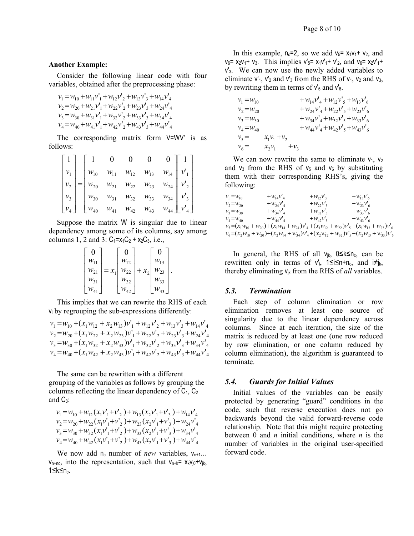#### **Another Example:**

Consider the following linear code with four variables, obtained after the preprocessing phase:

 $v_4 = w_{40} + w_{41}v_1' + w_{42}v_2' + w_{43}v_3' + w_{44}v_4'$  $v_3 = w_{30} + w_{31}v_1 + w_{32}v_2 + w_{33}v_3 + w_{34}v_4$  $v_2 = w_{20} + w_{21}v_1 + w_{22}v_2 + w_{23}v_3 + w_{24}v_4$  $v_1 = w_{10} + w_{11}v_1 + w_{12}v_2 + w_{13}v_3 + w_{14}v_4$ 

The corresponding matrix form V=WV' is as follows:

| $ v_1 $   | $W_{10}$             | $W_{11}$           | $w_{12}$<br>$w_{22}$<br>$w_{32}$ | $W_{13}$           | $W_{14}$           | $v_1'$           |
|-----------|----------------------|--------------------|----------------------------------|--------------------|--------------------|------------------|
|           | $=\vert w_{20}\vert$ | $w_{21}$           |                                  | $\mathcal{W}_{23}$ | $\mathcal{W}_{24}$ | $v_{2}^{\prime}$ |
| $ v_{3} $ | $W_{30}$             | $\mathcal{W}_{31}$ |                                  | $\mathcal{W}_{33}$ | $W_{34}$           | $v_3$            |
|           | $\mathcal{W}_{40}$   | $\mathcal{W}_{41}$ | $W_{42}$                         | $W_{43}$           | $W_{44}$           |                  |

Suppose the matrix W is singular due to linear dependency among some of its columns, say among columns 1, 2 and 3:  $C_1 = x_1C_2 + x_2C_3$ , i.e.,

$$
\begin{bmatrix} 0 \\ w_{11} \\ w_{21} \\ w_{31} \\ w_{41} \end{bmatrix} = x_1 \begin{bmatrix} 0 \\ w_{12} \\ w_{22} \\ w_{32} \\ w_{42} \end{bmatrix} + x_2 \begin{bmatrix} 0 \\ w_{13} \\ w_{23} \\ w_{33} \\ w_{43} \end{bmatrix}.
$$

This implies that we can rewrite the RHS of each vi by regrouping the sub-expressions differently:

$$
v_1 = w_{10} + (x_1 w_{12} + x_2 w_{13}) v'_1 + w_{12} v'_2 + w_{13} v'_3 + w_{14} v'_4 \n v_2 = w_{20} + (x_1 w_{22} + x_2 w_{23}) v'_1 + w_{22} v'_2 + w_{23} v'_3 + w_{24} v'_4 \n v_3 = w_{30} + (x_1 w_{32} + x_2 w_{33}) v'_1 + w_{32} v'_2 + w_{33} v'_3 + w_{34} v'_4 \n v_4 = w_{40} + (x_1 w_{42} + x_2 w_{43}) v'_1 + w_{42} v'_2 + w_{43} v'_3 + w_{44} v'_4
$$

The same can be rewritten with a different grouping of the variables as follows by grouping the columns reflecting the linear dependency of  $C_1$ ,  $C_2$ and  $C_3$ :

$$
v_1 = w_{10} + w_{12} (x_1 v_1' + v_2') + w_{13} (x_2 v_1' + v_3') + w_{14} v_4'
$$
  
\n
$$
v_2 = w_{20} + w_{22} (x_1 v_1' + v_2') + w_{23} (x_2 v_1' + v_3') + w_{24} v_4'
$$
  
\n
$$
v_3 = w_{30} + w_{32} (x_1 v_1' + v_2') + w_{33} (x_2 v_1' + v_3') + w_{34} v_4'
$$
  
\n
$$
v_4 = w_{40} + w_{42} (x_1 v_1' + v_2') + w_{43} (x_2 v_1' + v_3') + w_{44} v_4'
$$

We now add  $n_c$  number of *new* variables,  $V_{n+1}$ ...  $V_{n+nc}$ , into the representation, such that  $V_{n+k} = X_k V_{i0} + V_{ik}$ , 1≤k≤n<sub>c</sub>.

In this example,  $n_c=2$ , so we add  $v_5=x_1v_1+v_2$ , and  $v_6$ =  $x_2v_1$ +  $v_3$ . This implies  $v_5$ =  $x_1v_1'$ +  $v_2'$ , and  $v_6$ =  $x_2v_1'$ + v'3. We can now use the newly added variables to eliminate  $v'_{1}$ ,  $v'_{2}$  and  $v'_{3}$  from the RHS of  $v_{1}$ ,  $v_{2}$  and  $v_{3}$ , by rewriting them in terms of  $v_5$  and  $v_6$ .

| $v_1 = w_{10}$ |                        | $+W_{14}V_{4}W_{12}V_{5}W_{13}V_{6}$        |
|----------------|------------------------|---------------------------------------------|
| $v_2 = w_{20}$ |                        | $+ w_{24} v_4' + w_{22} v_5' + w_{23} v_6'$ |
| $v_3 = w_{30}$ |                        | $+ w_{34} v'_4 + w_{32} v'_5 + w_{33} v'_6$ |
| $v_4 = w_{40}$ |                        | $+W_{44}v_4' + W_{42}v_5' + W_{43}v_6'$     |
| $v_{5} =$      | $x_1v_1+v_2$           |                                             |
| $v_{6} =$      | $+\nu_{3}$<br>$x_2v_1$ |                                             |

We can now rewrite the same to eliminate  $v_1$ ,  $v_2$ and  $v_3$  from the RHS of  $v_5$  and  $v_6$  by substituting them with their corresponding RHS's, giving the following:

$$
v_{1} = w_{10} + w_{14}v_{4} + w_{12}v_{5} + w_{13}v_{6}
$$
  
\n
$$
v_{2} = w_{20} + w_{24}v_{4} + w_{22}v_{5} + w_{23}v_{6}
$$
  
\n
$$
v_{3} = w_{30} + w_{44}v_{4} + w_{32}v_{5} + w_{33}v_{6}
$$
  
\n
$$
v_{4} = w_{40} + w_{44}v_{4} + w_{42}v_{5} + w_{43}v_{6}
$$
  
\n
$$
v_{5} = (x_{1}w_{10} + w_{20}) + (x_{1}w_{14} + w_{24})v_{4} + (x_{1}w_{12} + w_{22})v_{5} + (x_{1}w_{13} + w_{23})v_{6}
$$
  
\n
$$
v_{6} = (x_{2}w_{10} + w_{20}) + (x_{2}w_{14} + w_{34})v_{4} + (x_{2}w_{12} + w_{32})v_{5} + (x_{2}w_{13} + w_{33})v_{6}
$$

In general, the RHS of all  $v_{ik}$ , 0≤k≤n<sub>c</sub>, can be rewritten only in terms of  $v'_{i}$ , 1≤i≤n+n<sub>c</sub>, and i≠j<sub>k</sub>, thereby eliminating vjk from the RHS of *all* variables.

#### *5.3. Termination*

Each step of column elimination or row elimination removes at least one source of singularity due to the linear dependency across columns. Since at each iteration, the size of the matrix is reduced by at least one (one row reduced by row elimination, or one column reduced by column elimination), the algorithm is guaranteed to terminate.

#### *5.4. Guards for Initial Values*

Initial values of the variables can be easily protected by generating "guard" conditions in the code, such that reverse execution does not go backwards beyond the valid forward-reverse code relationship. Note that this might require protecting between 0 and *n* initial conditions, where *n* is the number of variables in the original user-specified forward code.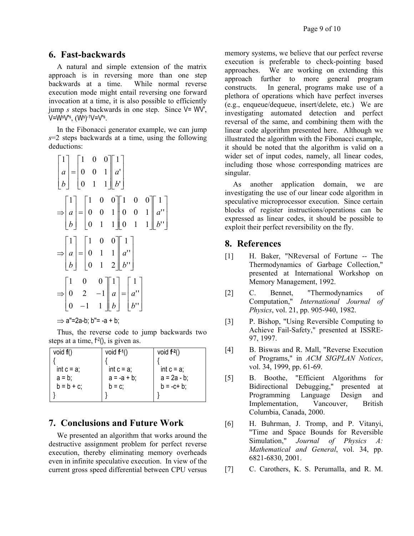## **6. Fast-backwards**

A natural and simple extension of the matrix approach is in reversing more than one step backwards at a time. While normal reverse execution mode might entail reversing one forward invocation at a time, it is also possible to efficiently jump *s* steps backwards in one step. Since V= WV', V=W§V's<sub>,</sub> (Ws)-1V=V's<sub>.</sub>

In the Fibonacci generator example, we can jump *s*=2 steps backwards at a time, using the following deductions:

$$
\begin{bmatrix} 1 \\ a \\ b \end{bmatrix} = \begin{bmatrix} 1 & 0 & 0 \\ 0 & 0 & 1 \\ 0 & 1 & 1 \end{bmatrix} \begin{bmatrix} 1 \\ a' \\ b' \end{bmatrix}
$$
  
\n
$$
\Rightarrow \begin{bmatrix} 1 \\ a \\ b \end{bmatrix} = \begin{bmatrix} 1 & 0 & 0 \\ 0 & 0 & 1 \\ 0 & 1 & 1 \end{bmatrix} \begin{bmatrix} 1 & 0 & 0 \\ 0 & 0 & 1 \\ 0 & 1 & 1 \end{bmatrix} \begin{bmatrix} 1 \\ a'' \\ b'' \end{bmatrix}
$$
  
\n
$$
\Rightarrow \begin{bmatrix} 1 \\ a \\ b \end{bmatrix} = \begin{bmatrix} 1 & 0 & 0 \\ 0 & 1 & 1 \\ 0 & 1 & 2 \end{bmatrix} \begin{bmatrix} 1 \\ a'' \\ b'' \end{bmatrix}
$$
  
\n
$$
\Rightarrow \begin{bmatrix} 1 & 0 & 0 \\ 0 & 2 & -1 \\ 0 & -1 & 1 \end{bmatrix} \begin{bmatrix} 1 \\ a \\ b \end{bmatrix} = \begin{bmatrix} 1 \\ a'' \\ b'' \end{bmatrix}
$$

 $\Rightarrow$  a"=2a-b; b"= -a + b;

Thus, the reverse code to jump backwards two steps at a time,  $f^2$ (), is given as.

| void $f()$    | void $f^{-1}()$ | void $f^{-2}()$ |
|---------------|-----------------|-----------------|
|               |                 |                 |
| int $c = a$ ; | int $c = a$ ;   | int $c = a$ ;   |
| $a = b$       | $a = -a + b$ ;  | $a = 2a - b$ ;  |
| $b = b + c$ ; | $b = c$ ;       | $b = -c + b$ ;  |
|               |                 |                 |

## **7. Conclusions and Future Work**

We presented an algorithm that works around the destructive assignment problem for perfect reverse execution, thereby eliminating memory overheads even in infinite speculative execution. In view of the current gross speed differential between CPU versus

memory systems, we believe that our perfect reverse execution is preferable to check-pointing based approaches. We are working on extending this approach further to more general program constructs. In general, programs make use of a plethora of operations which have perfect inverses (e.g., enqueue/dequeue, insert/delete, etc.) We are investigating automated detection and perfect reversal of the same, and combining them with the linear code algorithm presented here. Although we illustrated the algorithm with the Fibonacci example, it should be noted that the algorithm is valid on a wider set of input codes, namely, all linear codes, including those whose corresponding matrices are singular.

As another application domain, we are investigating the use of our linear code algorithm in speculative microprocessor execution. Since certain blocks of register instructions/operations can be expressed as linear codes, it should be possible to exploit their perfect reversibility on the fly.

## **8. References**

- [1] H. Baker, "NReversal of Fortune -- The Thermodynamics of Garbage Collection," presented at International Workshop on Memory Management, 1992.
- [2] C. Bennet, "Thermodynamics of Computation," *International Journal of Physics*, vol. 21, pp. 905-940, 1982.
- [3] P. Bishop, "Using Reversible Computing to Achieve Fail-Safety," presented at ISSRE-97, 1997.
- [4] B. Biswas and R. Mall, "Reverse Execution of Programs," in *ACM SIGPLAN Notices*, vol. 34, 1999, pp. 61-69.
- [5] B. Boothe, "Efficient Algorithms for Bidirectional Debugging," presented at Programming Language Design and Implementation, Vancouver, British Columbia, Canada, 2000.
- [6] H. Buhrman, J. Tromp, and P. Vitanyi, "Time and Space Bounds for Reversible Simulation," *Journal of Physics A: Mathematical and General*, vol. 34, pp. 6821-6830, 2001.
- [7] C. Carothers, K. S. Perumalla, and R. M.